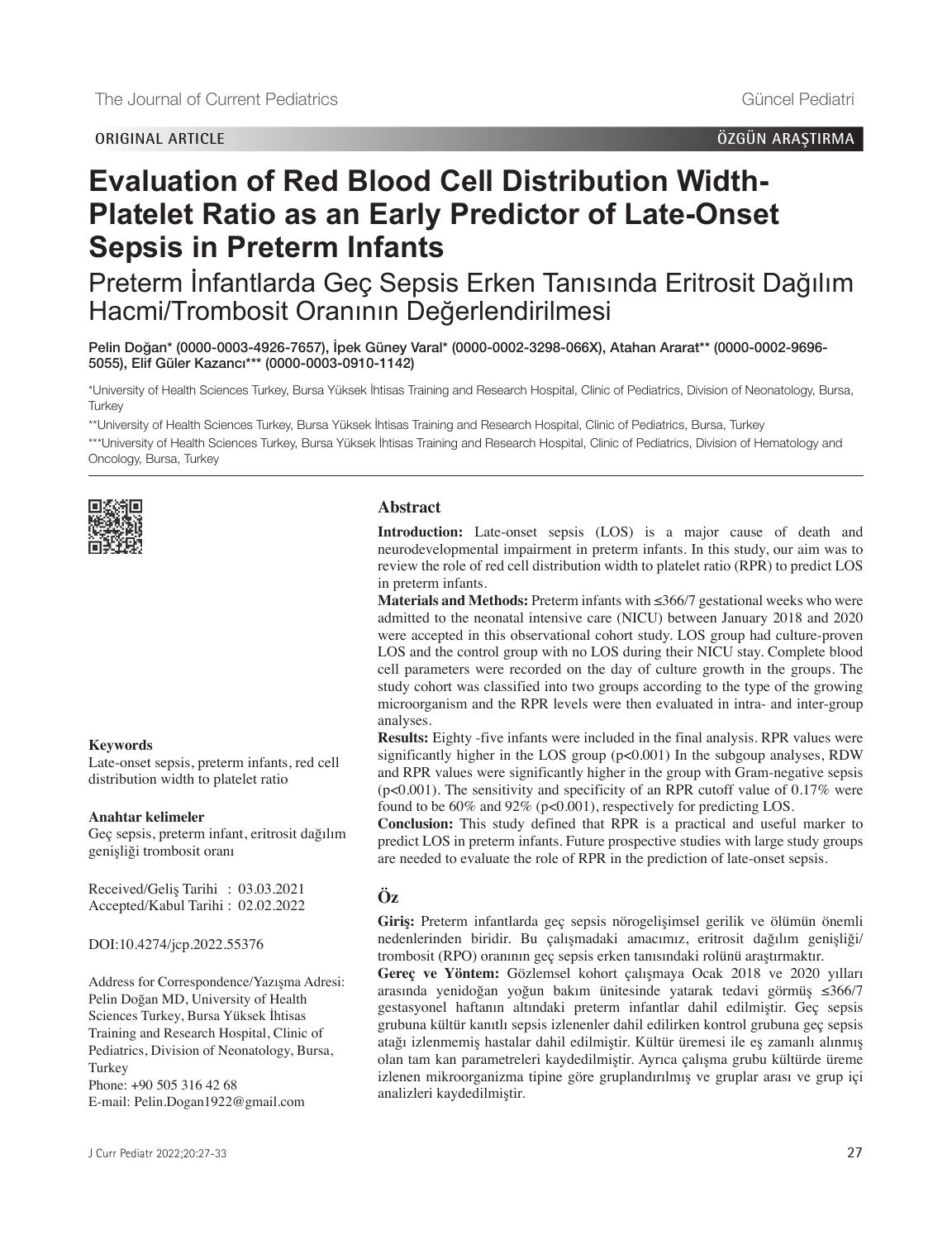# **ORIGINAL ARTICLE ÖZGÜN ARAŞTIRMA**

# **Evaluation of Red Blood Cell Distribution Width-Platelet Ratio as an Early Predictor of Late-Onset Sepsis in Preterm Infants**

Preterm İnfantlarda Geç Sepsis Erken Tanısında Eritrosit Dağılım Hacmi/Trombosit Oranının Değerlendirilmesi

Pelin Doğan\* [\(0000-0003-4926-7657\),](https://orcid.org/0000-0003-4926-7657) İpek Güney Varal\* [\(0000-0002-3298-066X\)](https://orcid.org/0000-0002-3298-066X), Atahan Ararat\*\* [\(0000-0002-9696-](https://orcid.org/0000-0002-9696-5055) [5055\)](https://orcid.org/0000-0002-9696-5055), Elif Güler Kazancı\*\*\* [\(0000-0003-0910-1142\)](https://orcid.org/0000-0003-0910-1142)

\*University of Health Sciences Turkey, Bursa Yüksek İhtisas Training and Research Hospital, Clinic of Pediatrics, Division of Neonatology, Bursa, **Turkey** 

\*\*University of Health Sciences Turkey, Bursa Yüksek İhtisas Training and Research Hospital, Clinic of Pediatrics, Bursa, Turkey

\*\*\*University of Health Sciences Turkey, Bursa Yüksek İhtisas Training and Research Hospital, Clinic of Pediatrics, Division of Hematology and Oncology, Bursa, Turkey



## **Abstract**

**Introduction:** Late-onset sepsis (LOS) is a major cause of death and neurodevelopmental impairment in preterm infants. In this study, our aim was to review the role of red cell distribution width to platelet ratio (RPR) to predict LOS in preterm infants.

**Materials and Methods:** Preterm infants with ≤366/7 gestational weeks who were admitted to the neonatal intensive care (NICU) between January 2018 and 2020 were accepted in this observational cohort study. LOS group had culture-proven LOS and the control group with no LOS during their NICU stay. Complete blood cell parameters were recorded on the day of culture growth in the groups. The study cohort was classified into two groups according to the type of the growing microorganism and the RPR levels were then evaluated in intra- and inter-group analyses.

**Results:** Eighty -five infants were included in the final analysis. RPR values were significantly higher in the LOS group (p<0.001) In the subgoup analyses, RDW and RPR values were significantly higher in the group with Gram-negative sepsis (p<0.001). The sensitivity and specificity of an RPR cutoff value of 0.17% were found to be 60% and 92% (p<0.001), respectively for predicting LOS.

**Conclusion:** This study defined that RPR is a practical and useful marker to predict LOS in preterm infants. Future prospective studies with large study groups are needed to evaluate the role of RPR in the prediction of late-onset sepsis.

# **Öz**

**Giriş:** Preterm infantlarda geç sepsis nörogelişimsel gerilik ve ölümün önemli nedenlerinden biridir. Bu çalışmadaki amacımız, eritrosit dağılım genişliği/ trombosit (RPO) oranının geç sepsis erken tanısındaki rolünü araştırmaktır.

**Gereç ve Yöntem:** Gözlemsel kohort çalışmaya Ocak 2018 ve 2020 yılları arasında yenidoğan yoğun bakım ünitesinde yatarak tedavi görmüş ≤366/7 gestasyonel haftanın altındaki preterm infantlar dahil edilmiştir. Geç sepsis grubuna kültür kanıtlı sepsis izlenenler dahil edilirken kontrol grubuna geç sepsis atağı izlenmemiş hastalar dahil edilmiştir. Kültür üremesi ile eş zamanlı alınmış olan tam kan parametreleri kaydedilmiştir. Ayrıca çalışma grubu kültürde üreme izlenen mikroorganizma tipine göre gruplandırılmış ve gruplar arası ve grup içi analizleri kaydedilmiştir.

## **Keywords**

Late-onset sepsis, preterm infants, red cell distribution width to platelet ratio

#### **Anahtar kelimeler**

Geç sepsis, preterm infant, eritrosit dağılım genişliği trombosit oranı

Received/Geliş Tarihi : 03.03.2021 Accepted/Kabul Tarihi : 02.02.2022

DOI:10.4274/jcp.2022.55376

Address for Correspondence/Yazışma Adresi: Pelin Doğan MD, University of Health Sciences Turkey, Bursa Yüksek İhtisas Training and Research Hospital, Clinic of Pediatrics, Division of Neonatology, Bursa, Turkey Phone: +90 505 316 42 68

E-mail: Pelin.Dogan1922@gmail.com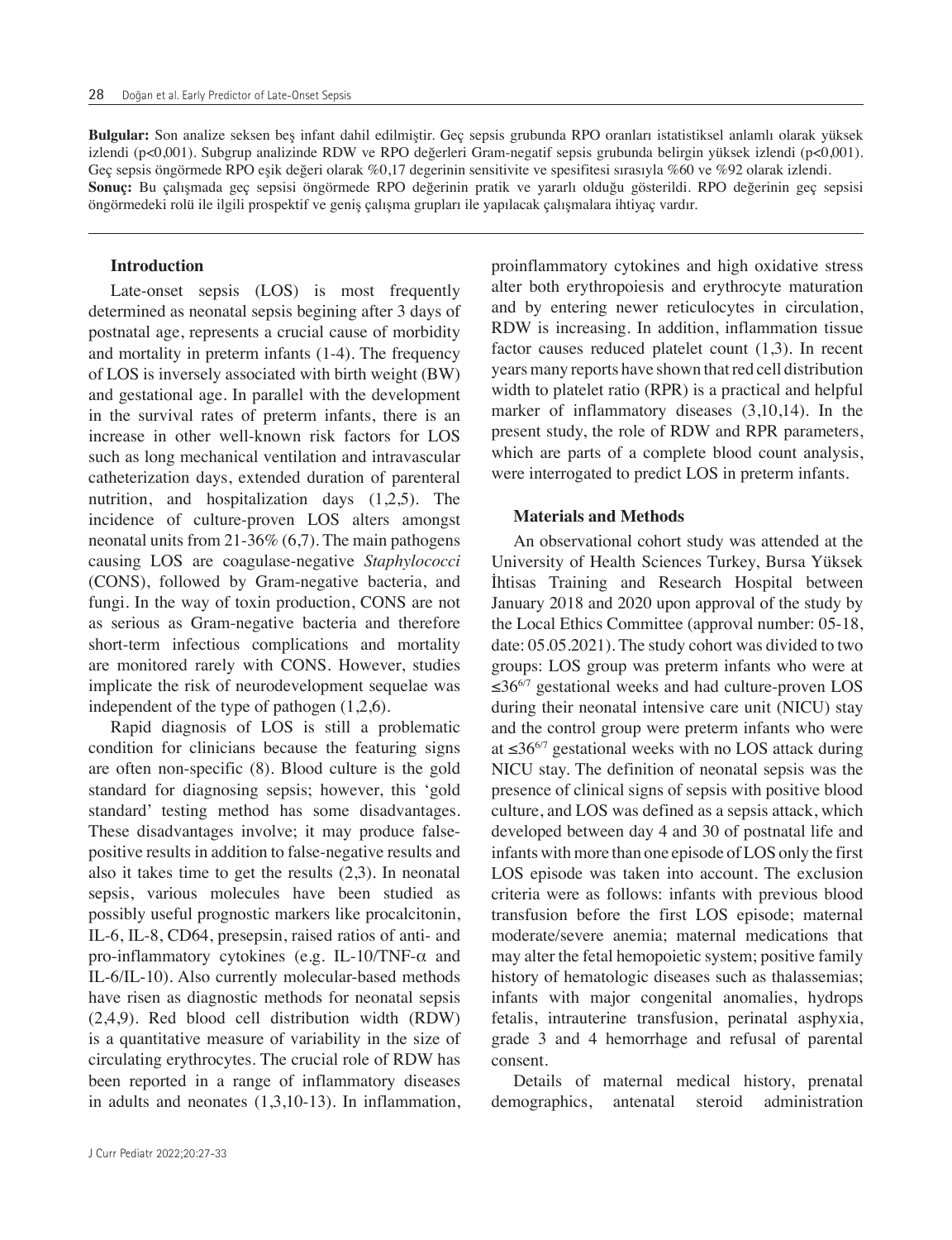**Bulgular:** Son analize seksen beş infant dahil edilmiştir. Geç sepsis grubunda RPO oranları istatistiksel anlamlı olarak yüksek izlendi (p<0,001). Subgrup analizinde RDW ve RPO değerleri Gram-negatif sepsis grubunda belirgin yüksek izlendi (p<0,001). Geç sepsis öngörmede RPO eşik değeri olarak %0,17 degerinin sensitivite ve spesifitesi sırasıyla %60 ve %92 olarak izlendi. **Sonuç:** Bu çalışmada geç sepsisi öngörmede RPO değerinin pratik ve yararlı olduğu gösterildi. RPO değerinin geç sepsisi öngörmedeki rolü ile ilgili prospektif ve geniş çalışma grupları ile yapılacak çalışmalara ihtiyaç vardır.

# **Introduction**

Late-onset sepsis (LOS) is most frequently determined as neonatal sepsis begining after 3 days of postnatal age, represents a crucial cause of morbidity and mortality in preterm infants (1-4). The frequency of LOS is inversely associated with birth weight (BW) and gestational age. In parallel with the development in the survival rates of preterm infants, there is an increase in other well-known risk factors for LOS such as long mechanical ventilation and intravascular catheterization days, extended duration of parenteral nutrition, and hospitalization days (1,2,5). The incidence of culture-proven LOS alters amongst neonatal units from 21-36% (6,7). The main pathogens causing LOS are coagulase-negative *Staphylococci* (CONS), followed by Gram-negative bacteria, and fungi. In the way of toxin production, CONS are not as serious as Gram-negative bacteria and therefore short-term infectious complications and mortality are monitored rarely with CONS. However, studies implicate the risk of neurodevelopment sequelae was independent of the type of pathogen (1,2,6).

Rapid diagnosis of LOS is still a problematic condition for clinicians because the featuring signs are often non-specific (8). Blood culture is the gold standard for diagnosing sepsis; however, this 'gold standard' testing method has some disadvantages. These disadvantages involve; it may produce falsepositive results in addition to false-negative results and also it takes time to get the results (2,3). In neonatal sepsis, various molecules have been studied as possibly useful prognostic markers like procalcitonin, IL-6, IL-8, CD64, presepsin, raised ratios of anti- and pro-inflammatory cytokines (e.g. IL-10/TNF-α and IL-6/IL-10). Also currently molecular-based methods have risen as diagnostic methods for neonatal sepsis (2,4,9). Red blood cell distribution width (RDW) is a quantitative measure of variability in the size of circulating erythrocytes. The crucial role of RDW has been reported in a range of inflammatory diseases in adults and neonates (1,3,10-13). In inflammation,

proinflammatory cytokines and high oxidative stress alter both erythropoiesis and erythrocyte maturation and by entering newer reticulocytes in circulation, RDW is increasing. In addition, inflammation tissue factor causes reduced platelet count (1,3). In recent years many reports have shown that red cell distribution width to platelet ratio (RPR) is a practical and helpful marker of inflammatory diseases (3,10,14). In the present study, the role of RDW and RPR parameters, which are parts of a complete blood count analysis, were interrogated to predict LOS in preterm infants.

#### **Materials and Methods**

An observational cohort study was attended at the University of Health Sciences Turkey, Bursa Yüksek İhtisas Training and Research Hospital between January 2018 and 2020 upon approval of the study by the Local Ethics Committee (approval number: 05-18, date: 05.05.2021). The study cohort was divided to two groups: LOS group was preterm infants who were at  $\leq 36^{6/7}$  gestational weeks and had culture-proven LOS during their neonatal intensive care unit (NICU) stay and the control group were preterm infants who were at ≤36 $6/7$  gestational weeks with no LOS attack during NICU stay. The definition of neonatal sepsis was the presence of clinical signs of sepsis with positive blood culture, and LOS was defined as a sepsis attack, which developed between day 4 and 30 of postnatal life and infants with more than one episode of LOS only the first LOS episode was taken into account. The exclusion criteria were as follows: infants with previous blood transfusion before the first LOS episode; maternal moderate/severe anemia; maternal medications that may alter the fetal hemopoietic system; positive family history of hematologic diseases such as thalassemias; infants with major congenital anomalies, hydrops fetalis, intrauterine transfusion, perinatal asphyxia, grade 3 and 4 hemorrhage and refusal of parental consent.

Details of maternal medical history, prenatal demographics, antenatal steroid administration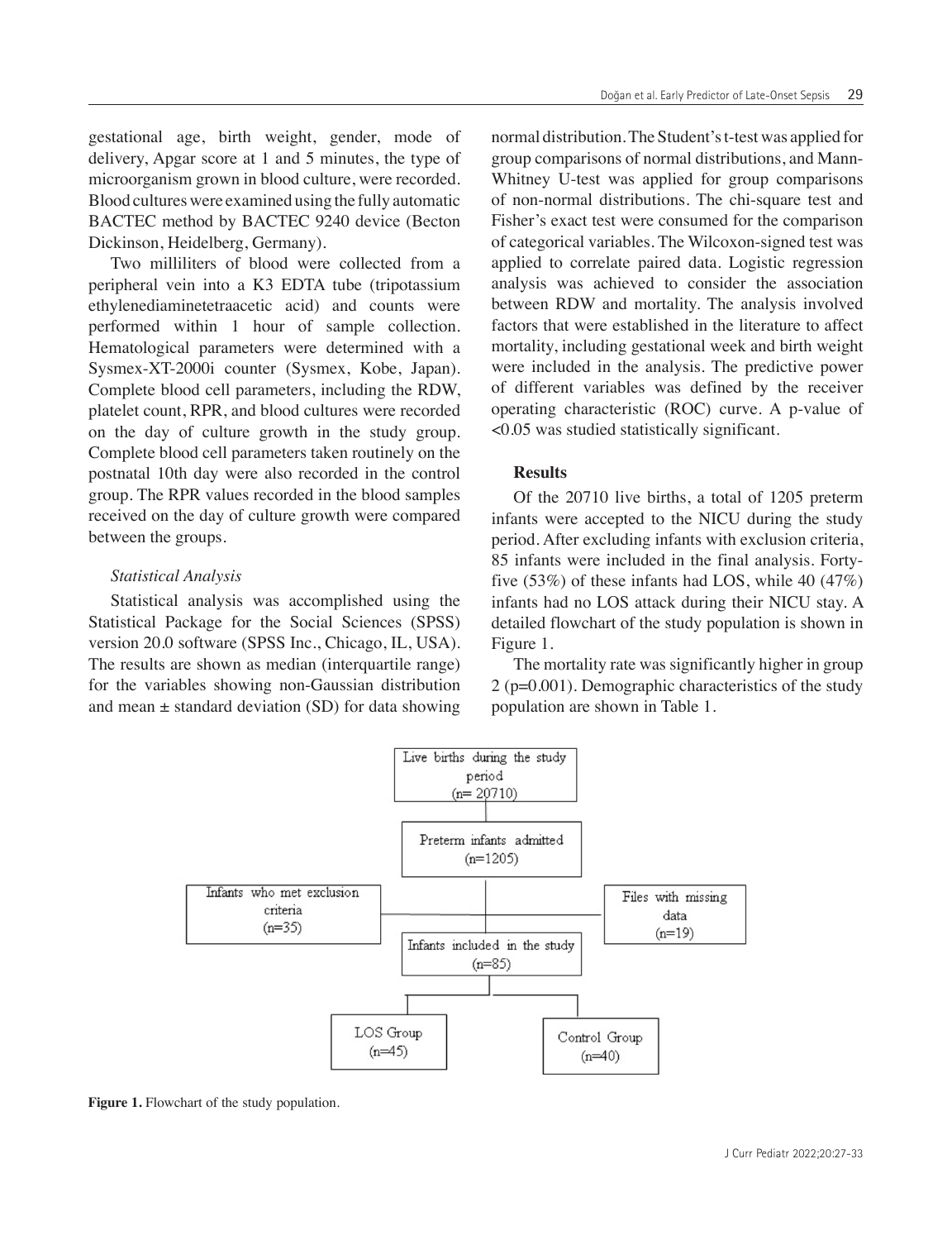gestational age, birth weight, gender, mode of delivery, Apgar score at 1 and 5 minutes, the type of microorganism grown in blood culture, were recorded. Blood cultures were examined using the fully automatic BACTEC method by BACTEC 9240 device (Becton Dickinson, Heidelberg, Germany).

Two milliliters of blood were collected from a peripheral vein into a K3 EDTA tube (tripotassium ethylenediaminetetraacetic acid) and counts were performed within 1 hour of sample collection. Hematological parameters were determined with a Sysmex-XT-2000i counter (Sysmex, Kobe, Japan). Complete blood cell parameters, including the RDW, platelet count, RPR, and blood cultures were recorded on the day of culture growth in the study group. Complete blood cell parameters taken routinely on the postnatal 10th day were also recorded in the control group. The RPR values recorded in the blood samples received on the day of culture growth were compared between the groups.

## *Statistical Analysis*

Statistical analysis was accomplished using the Statistical Package for the Social Sciences (SPSS) version 20.0 software (SPSS Inc., Chicago, IL, USA). The results are shown as median (interquartile range) for the variables showing non-Gaussian distribution and mean  $\pm$  standard deviation (SD) for data showing

normal distribution. The Student's t-test was applied for group comparisons of normal distributions, and Mann-Whitney U-test was applied for group comparisons of non-normal distributions. The chi-square test and Fisher's exact test were consumed for the comparison of categorical variables. The Wilcoxon-signed test was applied to correlate paired data. Logistic regression analysis was achieved to consider the association between RDW and mortality. The analysis involved factors that were established in the literature to affect mortality, including gestational week and birth weight were included in the analysis. The predictive power of different variables was defined by the receiver operating characteristic (ROC) curve. A p-value of <0.05 was studied statistically significant.

## **Results**

Of the 20710 live births, a total of 1205 preterm infants were accepted to the NICU during the study period. After excluding infants with exclusion criteria, 85 infants were included in the final analysis. Fortyfive  $(53\%)$  of these infants had LOS, while 40  $(47\%)$ infants had no LOS attack during their NICU stay. A detailed flowchart of the study population is shown in Figure 1.

The mortality rate was significantly higher in group 2 (p=0.001). Demographic characteristics of the study population are shown in Table 1.



**Figure 1.** Flowchart of the study population.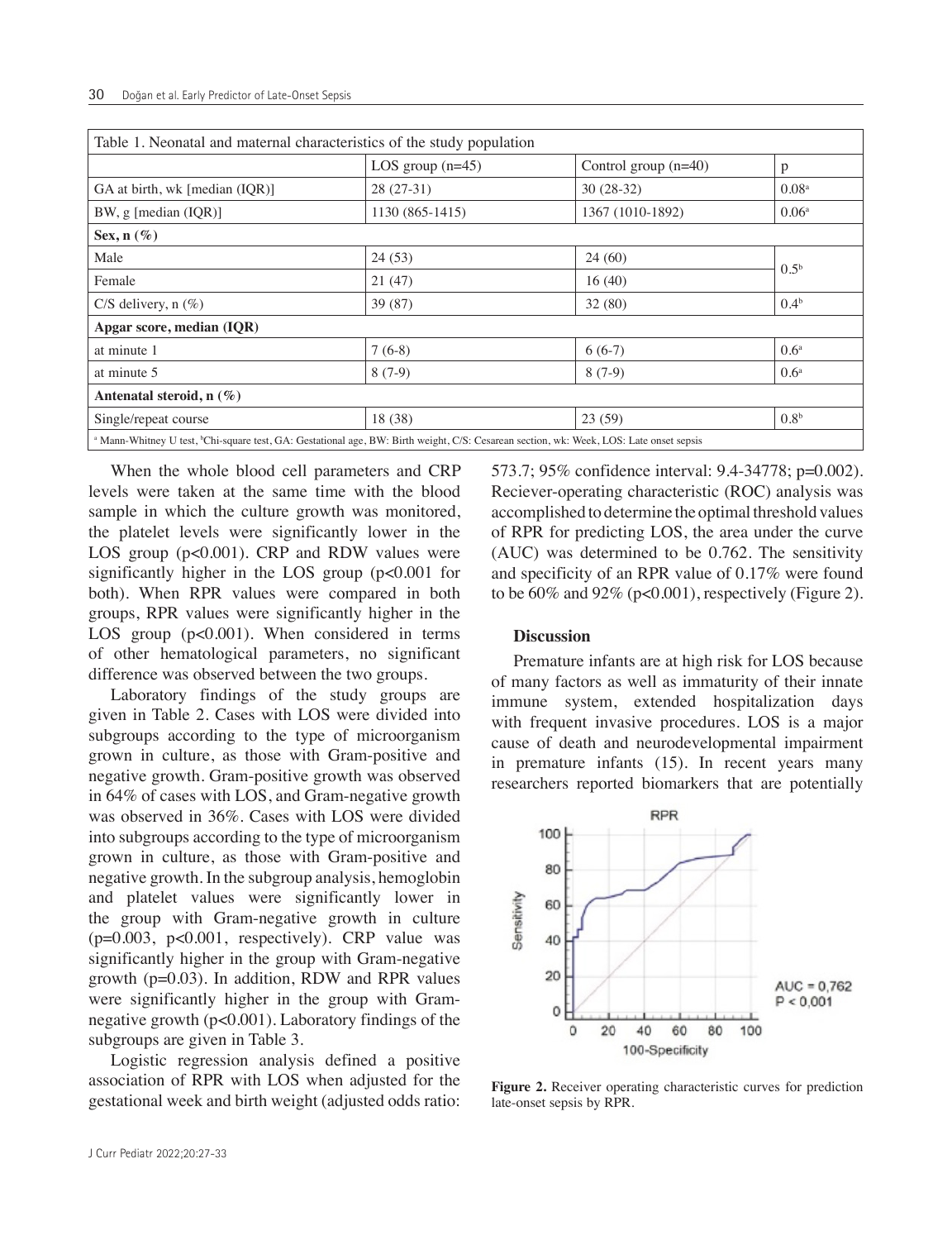| Table 1. Neonatal and maternal characteristics of the study population                                                                              |                    |                        |                   |  |  |  |
|-----------------------------------------------------------------------------------------------------------------------------------------------------|--------------------|------------------------|-------------------|--|--|--|
|                                                                                                                                                     | LOS group $(n=45)$ | Control group $(n=40)$ | p                 |  |  |  |
| GA at birth, wk [median (IQR)]                                                                                                                      | $28(27-31)$        | $30(28-32)$            | 0.08 <sup>a</sup> |  |  |  |
| BW, $g$ [median (IQR)]                                                                                                                              | 1130 (865-1415)    | 1367 (1010-1892)       | 0.06 <sup>a</sup> |  |  |  |
| Sex, $n(\%)$                                                                                                                                        |                    |                        |                   |  |  |  |
| Male                                                                                                                                                | 24(53)             | 24(60)                 |                   |  |  |  |
| Female                                                                                                                                              | 21(47)             | 16(40)                 | 0.5 <sup>b</sup>  |  |  |  |
| $C/S$ delivery, n $(\%)$                                                                                                                            | 39(87)             | 32(80)                 | 0.4 <sup>b</sup>  |  |  |  |
| Apgar score, median (IQR)                                                                                                                           |                    |                        |                   |  |  |  |
| at minute 1                                                                                                                                         | $7(6-8)$           | $6(6-7)$               | 0.6 <sup>a</sup>  |  |  |  |
| at minute 5                                                                                                                                         | $8(7-9)$           | $8(7-9)$               | 0.6 <sup>a</sup>  |  |  |  |
| Antenatal steroid, $n(\%)$                                                                                                                          |                    |                        |                   |  |  |  |
| Single/repeat course                                                                                                                                | 18(38)             | 23(59)                 | 0.8 <sup>b</sup>  |  |  |  |
| a Mann-Whitney U test, <sup>b</sup> Chi-square test, GA: Gestational age, BW: Birth weight, C/S: Cesarean section, wk: Week, LOS: Late onset sepsis |                    |                        |                   |  |  |  |

When the whole blood cell parameters and CRP levels were taken at the same time with the blood sample in which the culture growth was monitored, the platelet levels were significantly lower in the LOS group (p<0.001). CRP and RDW values were significantly higher in the LOS group (p<0.001 for both). When RPR values were compared in both groups, RPR values were significantly higher in the LOS group (p<0.001). When considered in terms of other hematological parameters, no significant difference was observed between the two groups.

Laboratory findings of the study groups are given in Table 2. Cases with LOS were divided into subgroups according to the type of microorganism grown in culture, as those with Gram-positive and negative growth. Gram-positive growth was observed in 64% of cases with LOS, and Gram-negative growth was observed in 36%. Cases with LOS were divided into subgroups according to the type of microorganism grown in culture, as those with Gram-positive and negative growth. In the subgroup analysis, hemoglobin and platelet values were significantly lower in the group with Gram-negative growth in culture  $(p=0.003, p<0.001,$  respectively). CRP value was significantly higher in the group with Gram-negative growth (p=0.03). In addition, RDW and RPR values were significantly higher in the group with Gramnegative growth (p<0.001). Laboratory findings of the subgroups are given in Table 3.

Logistic regression analysis defined a positive association of RPR with LOS when adjusted for the gestational week and birth weight (adjusted odds ratio: 573.7; 95% confidence interval: 9.4-34778; p=0.002). Reciever-operating characteristic (ROC) analysis was accomplished to determine the optimal threshold values of RPR for predicting LOS, the area under the curve (AUC) was determined to be 0.762. The sensitivity and specificity of an RPR value of 0.17% were found to be  $60\%$  and  $92\%$  (p<0.001), respectively (Figure 2).

## **Discussion**

Premature infants are at high risk for LOS because of many factors as well as immaturity of their innate immune system, extended hospitalization days with frequent invasive procedures. LOS is a major cause of death and neurodevelopmental impairment in premature infants (15). In recent years many researchers reported biomarkers that are potentially



**Figure 2.** Receiver operating characteristic curves for prediction late-onset sepsis by RPR.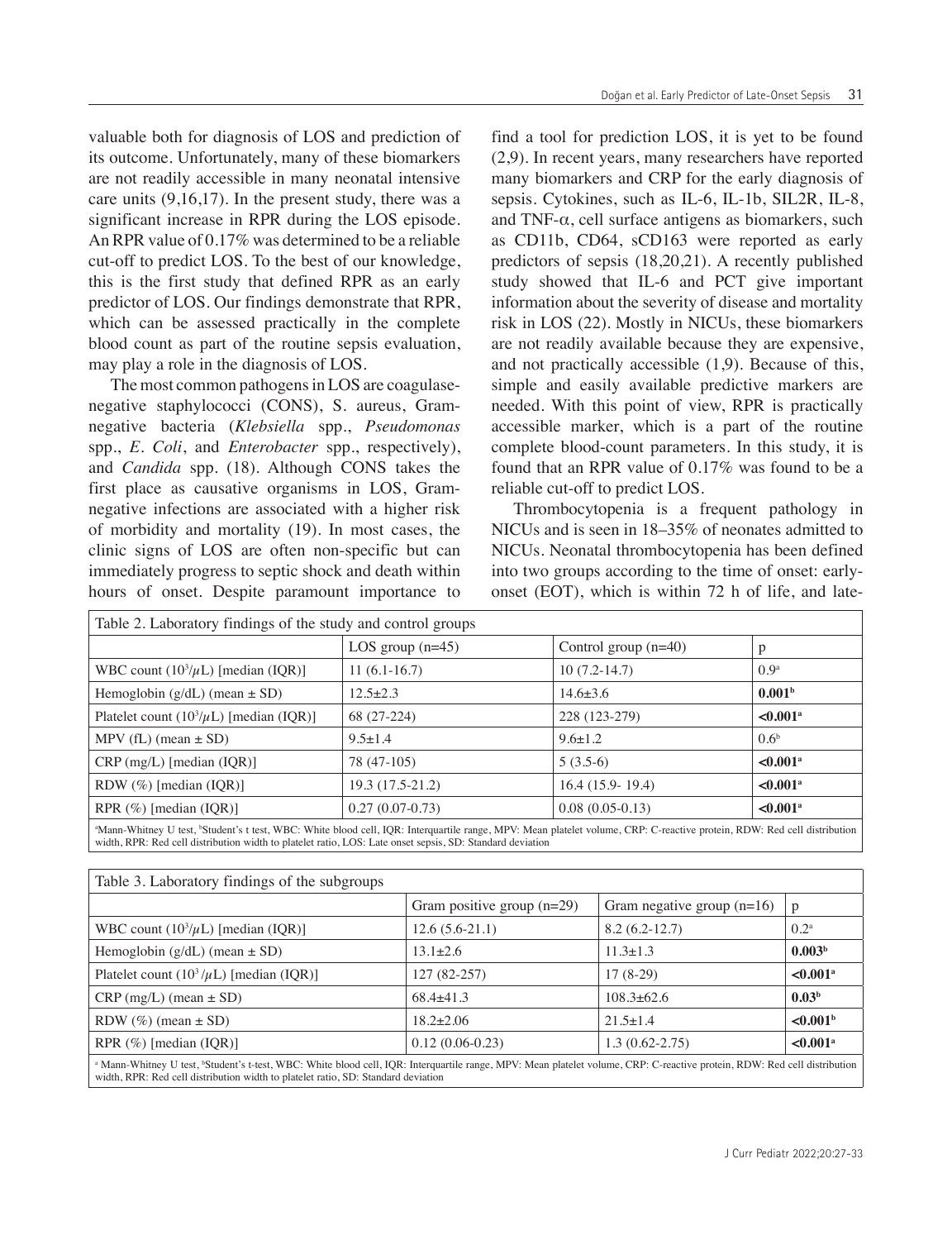valuable both for diagnosis of LOS and prediction of its outcome. Unfortunately, many of these biomarkers are not readily accessible in many neonatal intensive care units (9,16,17). In the present study, there was a significant increase in RPR during the LOS episode. An RPR value of 0.17% was determined to be a reliable cut-off to predict LOS. To the best of our knowledge, this is the first study that defined RPR as an early predictor of LOS. Our findings demonstrate that RPR, which can be assessed practically in the complete blood count as part of the routine sepsis evaluation, may play a role in the diagnosis of LOS.

The most common pathogens in LOS are coagulasenegative staphylococci (CONS), S. aureus, Gramnegative bacteria (*Klebsiella* spp., *Pseudomonas* spp., *E. Coli*, and *Enterobacter* spp., respectively), and *Candida* spp. (18). Although CONS takes the first place as causative organisms in LOS, Gramnegative infections are associated with a higher risk of morbidity and mortality (19). In most cases, the clinic signs of LOS are often non-specific but can immediately progress to septic shock and death within hours of onset. Despite paramount importance to

find a tool for prediction LOS, it is yet to be found (2,9). In recent years, many researchers have reported many biomarkers and CRP for the early diagnosis of sepsis. Cytokines, such as IL-6, IL-1b, SIL2R, IL-8, and TNF-α, cell surface antigens as biomarkers, such as CD11b, CD64, sCD163 were reported as early predictors of sepsis (18,20,21). A recently published study showed that IL-6 and PCT give important information about the severity of disease and mortality risk in LOS (22). Mostly in NICUs, these biomarkers are not readily available because they are expensive, and not practically accessible (1,9). Because of this, simple and easily available predictive markers are needed. With this point of view, RPR is practically accessible marker, which is a part of the routine complete blood-count parameters. In this study, it is found that an RPR value of 0.17% was found to be a reliable cut-off to predict LOS.

Thrombocytopenia is a frequent pathology in NICUs and is seen in 18–35% of neonates admitted to NICUs. Neonatal thrombocytopenia has been defined into two groups according to the time of onset: earlyonset (EOT), which is within 72 h of life, and late-

| Table 2. Laboratory findings of the study and control groups                                                                                                             |                    |                        |                        |  |  |
|--------------------------------------------------------------------------------------------------------------------------------------------------------------------------|--------------------|------------------------|------------------------|--|--|
|                                                                                                                                                                          | LOS group $(n=45)$ | Control group $(n=40)$ |                        |  |  |
| WBC count $(10^3/\mu L)$ [median (IQR)]                                                                                                                                  | $11(6.1-16.7)$     | $10(7.2-14.7)$         | 0.9 <sup>a</sup>       |  |  |
| Hemoglobin $(g/dL)$ (mean $\pm$ SD)                                                                                                                                      | $12.5 \pm 2.3$     | $14.6 \pm 3.6$         | 0.001 <sup>b</sup>     |  |  |
| Platelet count $(10^3/\mu L)$ [median (IQR)]                                                                                                                             | 68 (27-224)        | 228 (123-279)          | $< 0.001$ <sup>a</sup> |  |  |
| MPV (fL) (mean $\pm$ SD)                                                                                                                                                 | $9.5 \pm 1.4$      | $9.6 \pm 1.2$          | 0.6 <sup>b</sup>       |  |  |
| $CRP$ (mg/L) [median (IQR)]                                                                                                                                              | 78 (47-105)        | $5(3.5-6)$             | $< 0.001$ <sup>a</sup> |  |  |
| RDW $(\%)$ [median (IQR)]                                                                                                                                                | 19.3 (17.5-21.2)   | $16.4(15.9-19.4)$      | $< 0.001$ <sup>a</sup> |  |  |
| RPR $(\%)$ [median (IQR)]                                                                                                                                                | $0.27(0.07-0.73)$  | $0.08(0.05-0.13)$      | $< 0.001$ <sup>a</sup> |  |  |
| aMann-Whitney U test, bStudent's t test, WBC: White blood cell, IQR: Interquartile range, MPV: Mean platelet volume, CRP: C-reactive protein, RDW: Red cell distribution |                    |                        |                        |  |  |

| width, RPR: Red cell distribution width to platelet ratio, LOS: Late onset sepsis, SD: Standard deviation |  |  |  |  |
|-----------------------------------------------------------------------------------------------------------|--|--|--|--|
|                                                                                                           |  |  |  |  |
| Table 3. Laboratory findings of the subgroups                                                             |  |  |  |  |

| Table 5. Laboratory midnings of the subgroups                                                                                                                                                    |                              |                              |                        |  |  |  |
|--------------------------------------------------------------------------------------------------------------------------------------------------------------------------------------------------|------------------------------|------------------------------|------------------------|--|--|--|
|                                                                                                                                                                                                  | Gram positive group $(n=29)$ | Gram negative group $(n=16)$ | p                      |  |  |  |
| WBC count $(10^3/\mu L)$ [median (IQR)]                                                                                                                                                          | $12.6(5.6-21.1)$             | $8.2(6.2 - 12.7)$            | $0.2^{\rm a}$          |  |  |  |
| Hemoglobin $(g/dL)$ (mean $\pm$ SD)                                                                                                                                                              | $13.1 \pm 2.6$               | $11.3 \pm 1.3$               | 0.003 <sup>b</sup>     |  |  |  |
| Platelet count $(10^3/\mu L)$ [median (IQR)]                                                                                                                                                     | $127(82-257)$                | $17(8-29)$                   | $< 0.001$ <sup>a</sup> |  |  |  |
| $CRP$ (mg/L) (mean $\pm$ SD)                                                                                                                                                                     | $68.4\pm41.3$                | $108.3 \pm 62.6$             | 0.03 <sup>b</sup>      |  |  |  |
| RDW $(\%)$ (mean $\pm$ SD)                                                                                                                                                                       | $18.2 \pm 2.06$              | $21.5 \pm 1.4$               | < 0.001 <sup>b</sup>   |  |  |  |
| RPR $(\%)$ [median (IOR)]                                                                                                                                                                        | $0.12(0.06-0.23)$            | $1.3(0.62 - 2.75)$           | $< 0.001$ <sup>a</sup> |  |  |  |
| <sup>a</sup> Mann-Whitney U test, <sup>b</sup> Student's t-test, WBC: White blood cell, IQR: Interquartile range, MPV: Mean platelet volume, CRP: C-reactive protein, RDW: Red cell distribution |                              |                              |                        |  |  |  |

width, RPR: Red cell distribution width to platelet ratio, SD: Standard deviation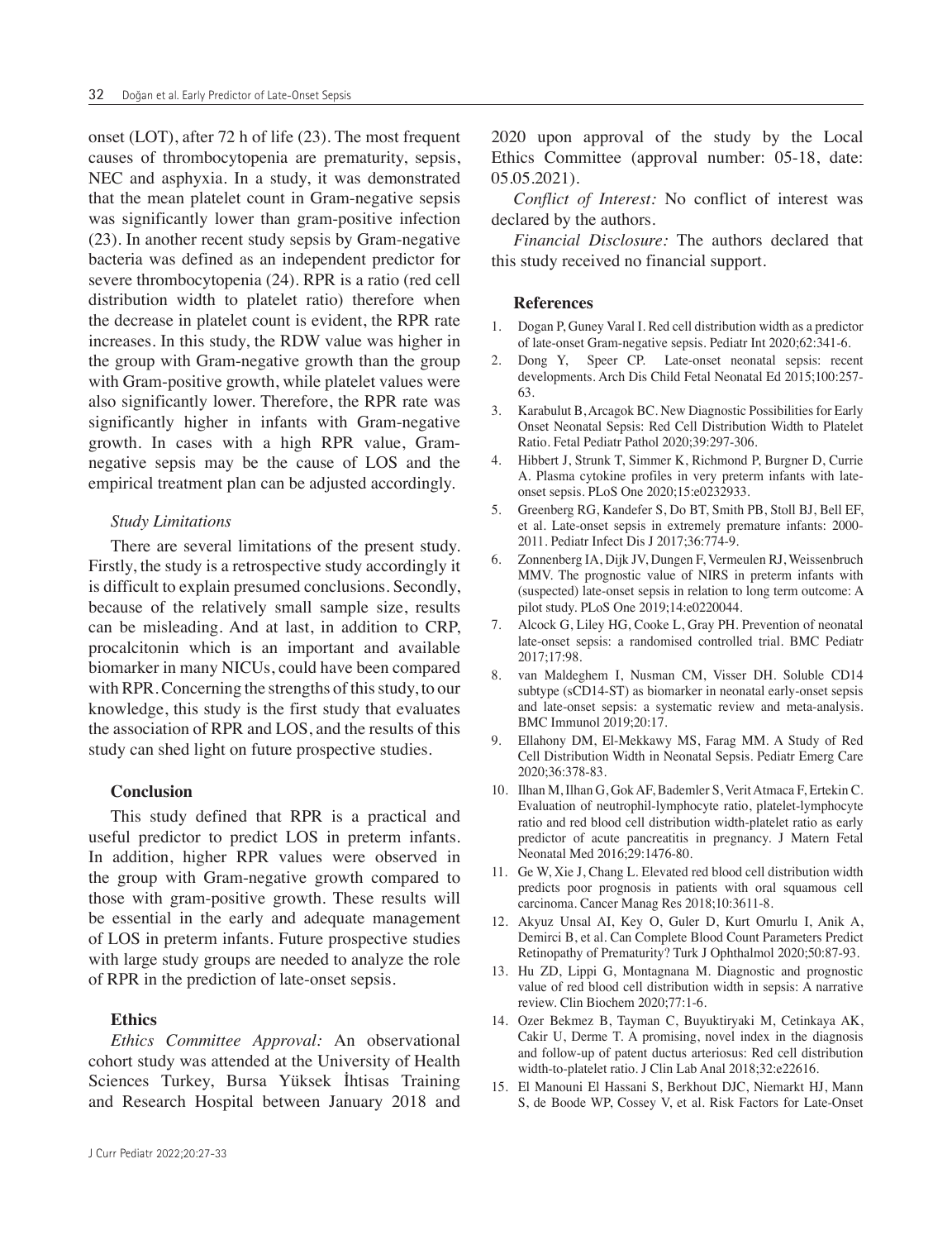onset (LOT), after 72 h of life (23). The most frequent causes of thrombocytopenia are prematurity, sepsis, NEC and asphyxia. In a study, it was demonstrated that the mean platelet count in Gram-negative sepsis was significantly lower than gram-positive infection (23). In another recent study sepsis by Gram-negative bacteria was defined as an independent predictor for severe thrombocytopenia (24). RPR is a ratio (red cell distribution width to platelet ratio) therefore when the decrease in platelet count is evident, the RPR rate increases. In this study, the RDW value was higher in the group with Gram-negative growth than the group with Gram-positive growth, while platelet values were also significantly lower. Therefore, the RPR rate was significantly higher in infants with Gram-negative growth. In cases with a high RPR value, Gramnegative sepsis may be the cause of LOS and the empirical treatment plan can be adjusted accordingly.

#### *Study Limitations*

There are several limitations of the present study. Firstly, the study is a retrospective study accordingly it is difficult to explain presumed conclusions. Secondly, because of the relatively small sample size, results can be misleading. And at last, in addition to CRP, procalcitonin which is an important and available biomarker in many NICUs, could have been compared with RPR. Concerning the strengths of this study, to our knowledge, this study is the first study that evaluates the association of RPR and LOS, and the results of this study can shed light on future prospective studies.

#### **Conclusion**

This study defined that RPR is a practical and useful predictor to predict LOS in preterm infants. In addition, higher RPR values were observed in the group with Gram-negative growth compared to those with gram-positive growth. These results will be essential in the early and adequate management of LOS in preterm infants. Future prospective studies with large study groups are needed to analyze the role of RPR in the prediction of late-onset sepsis.

#### **Ethics**

*Ethics Committee Approval:* An observational cohort study was attended at the University of Health Sciences Turkey, Bursa Yüksek İhtisas Training and Research Hospital between January 2018 and

2020 upon approval of the study by the Local Ethics Committee (approval number: 05-18, date: 05.05.2021).

*Conflict of Interest:* No conflict of interest was declared by the authors.

*Financial Disclosure:* The authors declared that this study received no financial support.

#### **References**

- 1. Dogan P, Guney Varal I. Red cell distribution width as a predictor of late-onset Gram-negative sepsis. Pediatr Int 2020;62:341-6.
- 2. Dong Y, Speer CP. Late-onset neonatal sepsis: recent developments. Arch Dis Child Fetal Neonatal Ed 2015;100:257- 63.
- 3. Karabulut B, Arcagok BC. New Diagnostic Possibilities for Early Onset Neonatal Sepsis: Red Cell Distribution Width to Platelet Ratio. Fetal Pediatr Pathol 2020;39:297-306.
- 4. Hibbert J, Strunk T, Simmer K, Richmond P, Burgner D, Currie A. Plasma cytokine profiles in very preterm infants with lateonset sepsis. PLoS One 2020;15:e0232933.
- 5. Greenberg RG, Kandefer S, Do BT, Smith PB, Stoll BJ, Bell EF, et al. Late-onset sepsis in extremely premature infants: 2000- 2011. Pediatr Infect Dis J 2017;36:774-9.
- 6. Zonnenberg IA, Dijk JV, Dungen F, Vermeulen RJ, Weissenbruch MMV. The prognostic value of NIRS in preterm infants with (suspected) late-onset sepsis in relation to long term outcome: A pilot study. PLoS One 2019;14:e0220044.
- 7. Alcock G, Liley HG, Cooke L, Gray PH. Prevention of neonatal late-onset sepsis: a randomised controlled trial. BMC Pediatr 2017;17:98.
- 8. van Maldeghem I, Nusman CM, Visser DH. Soluble CD14 subtype (sCD14-ST) as biomarker in neonatal early-onset sepsis and late-onset sepsis: a systematic review and meta-analysis. BMC Immunol 2019;20:17.
- 9. Ellahony DM, El-Mekkawy MS, Farag MM. A Study of Red Cell Distribution Width in Neonatal Sepsis. Pediatr Emerg Care 2020;36:378-83.
- 10. Ilhan M, Ilhan G, Gok AF, Bademler S, Verit Atmaca F, Ertekin C. Evaluation of neutrophil-lymphocyte ratio, platelet-lymphocyte ratio and red blood cell distribution width-platelet ratio as early predictor of acute pancreatitis in pregnancy. J Matern Fetal Neonatal Med 2016;29:1476-80.
- 11. Ge W, Xie J, Chang L. Elevated red blood cell distribution width predicts poor prognosis in patients with oral squamous cell carcinoma. Cancer Manag Res 2018;10:3611-8.
- 12. Akyuz Unsal AI, Key O, Guler D, Kurt Omurlu I, Anik A, Demirci B, et al. Can Complete Blood Count Parameters Predict Retinopathy of Prematurity? Turk J Ophthalmol 2020;50:87-93.
- 13. Hu ZD, Lippi G, Montagnana M. Diagnostic and prognostic value of red blood cell distribution width in sepsis: A narrative review. Clin Biochem 2020;77:1-6.
- 14. Ozer Bekmez B, Tayman C, Buyuktiryaki M, Cetinkaya AK, Cakir U, Derme T. A promising, novel index in the diagnosis and follow-up of patent ductus arteriosus: Red cell distribution width-to-platelet ratio. J Clin Lab Anal 2018;32:e22616.
- 15. El Manouni El Hassani S, Berkhout DJC, Niemarkt HJ, Mann S, de Boode WP, Cossey V, et al. Risk Factors for Late-Onset